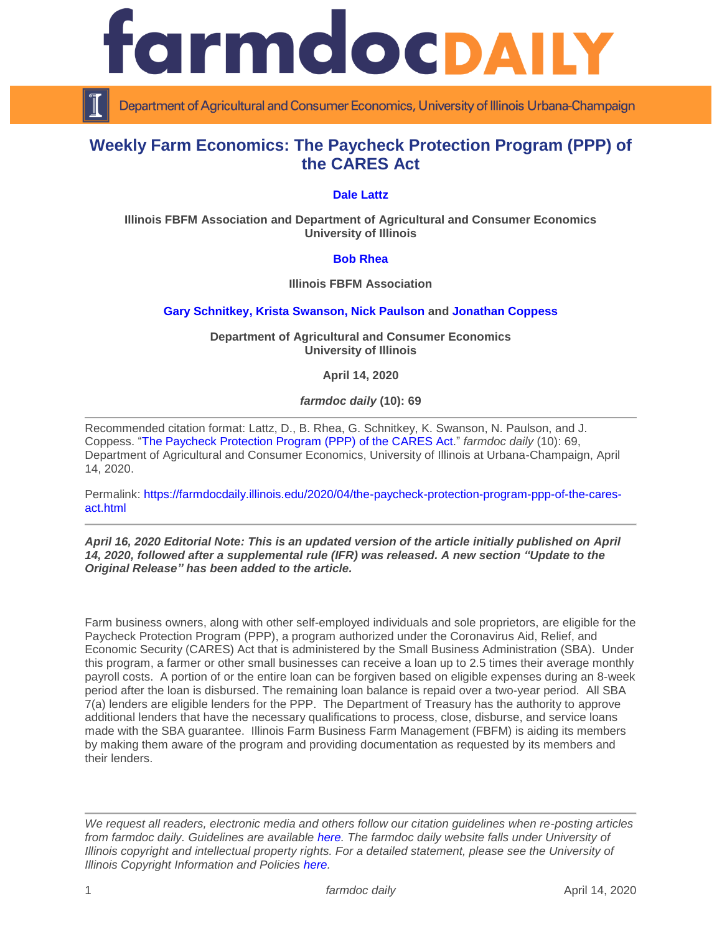

Department of Agricultural and Consumer Economics, University of Illinois Urbana-Champaign

# **Weekly Farm Economics: The Paycheck Protection Program (PPP) of the CARES Act**

## **[Dale Lattz](https://farmdocdaily.illinois.edu/about)**

**Illinois FBFM Association and Department of Agricultural and Consumer Economics University of Illinois**

## **[Bob Rhea](http://fbfm.org/directory.asp)**

**Illinois FBFM Association** 

#### **[Gary Schnitkey,](https://ace.illinois.edu/directory/schnitke) [Krista Swanson,](https://ace.illinois.edu/directory/krista) [Nick Paulson](https://ace.illinois.edu/directory/npaulson) and [Jonathan Coppess](https://ace.illinois.edu/directory/jwcoppes)**

**Department of Agricultural and Consumer Economics University of Illinois**

**April 14, 2020**

*farmdoc daily* **(10): 69**

Recommended citation format: Lattz, D., B. Rhea, G. Schnitkey, K. Swanson, N. Paulson, and J. Coppess. ["The Paycheck Protection Program \(PPP\) of the CARES](https://farmdocdaily.illinois.edu/2020/04/the-paycheck-protection-program-ppp-of-the-cares-act.html) Ac[t.](https://farmdocdaily.illinois.edu/2020/04/the-paycheck-protection-program-ppp-of-the-cares-act.html)" *farmdoc daily* (10): 69, Department of Agricultural and Consumer Economics, University of Illinois at Urbana-Champaign, April 14, 2020.

Permalink: [https://farmdocdaily.illinois.edu/2020/04/the-paycheck-protection-program-ppp-of-the-cares](https://farmdocdaily.illinois.edu/2020/04/the-paycheck-protection-program-ppp-of-the-cares-act.html)[act.html](https://farmdocdaily.illinois.edu/2020/04/the-paycheck-protection-program-ppp-of-the-cares-act.html)

#### *April 16, 2020 Editorial Note: This is an updated version of the article initially published on April 14, 2020, followed after a supplemental rule (IFR) was released. A new section "Update to the Original Release" has been added to the article.*

Farm business owners, along with other self-employed individuals and sole proprietors, are eligible for the Paycheck Protection Program (PPP), a program authorized under the Coronavirus Aid, Relief, and Economic Security (CARES) Act that is administered by the Small Business Administration (SBA). Under this program, a farmer or other small businesses can receive a loan up to 2.5 times their average monthly payroll costs. A portion of or the entire loan can be forgiven based on eligible expenses during an 8-week period after the loan is disbursed. The remaining loan balance is repaid over a two-year period. All SBA 7(a) lenders are eligible lenders for the PPP. The Department of Treasury has the authority to approve additional lenders that have the necessary qualifications to process, close, disburse, and service loans made with the SBA guarantee. Illinois Farm Business Farm Management (FBFM) is aiding its members by making them aware of the program and providing documentation as requested by its members and their lenders.

*We request all readers, electronic media and others follow our citation guidelines when re-posting articles from farmdoc daily. Guidelines are available [here.](http://farmdocdaily.illinois.edu/citationguide.html) The farmdoc daily website falls under University of Illinois copyright and intellectual property rights. For a detailed statement, please see the University of Illinois Copyright Information and Policies [here.](http://www.cio.illinois.edu/policies/copyright/)*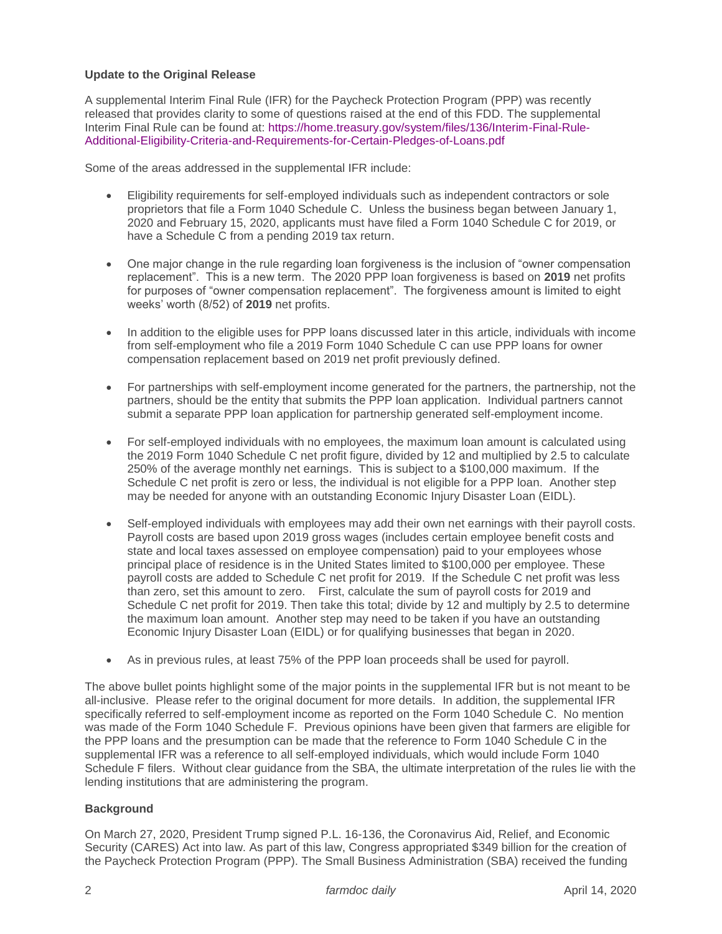# **Update to the Original Release**

A supplemental Interim Final Rule (IFR) for the Paycheck Protection Program (PPP) was recently released that provides clarity to some of questions raised at the end of this FDD. The supplemental Interim Final Rule can be found at: [https://home.treasury.gov/system/files/136/Interim-Final-Rule-](https://home.treasury.gov/system/files/136/Interim-Final-Rule-Additional-Eligibility-Criteria-and-Requirements-for-Certain-Pledges-of-Loans.pdf)[Additional-Eligibility-Criteria-and-Requirements-for-Certain-Pledges-of-Loans.pdf](https://home.treasury.gov/system/files/136/Interim-Final-Rule-Additional-Eligibility-Criteria-and-Requirements-for-Certain-Pledges-of-Loans.pdf)

Some of the areas addressed in the supplemental IFR include:

- Eligibility requirements for self-employed individuals such as independent contractors or sole proprietors that file a Form 1040 Schedule C. Unless the business began between January 1, 2020 and February 15, 2020, applicants must have filed a Form 1040 Schedule C for 2019, or have a Schedule C from a pending 2019 tax return.
- One major change in the rule regarding loan forgiveness is the inclusion of "owner compensation replacement". This is a new term. The 2020 PPP loan forgiveness is based on **2019** net profits for purposes of "owner compensation replacement". The forgiveness amount is limited to eight weeks' worth (8/52) of **2019** net profits.
- In addition to the eligible uses for PPP loans discussed later in this article, individuals with income from self-employment who file a 2019 Form 1040 Schedule C can use PPP loans for owner compensation replacement based on 2019 net profit previously defined.
- For partnerships with self-employment income generated for the partners, the partnership, not the partners, should be the entity that submits the PPP loan application. Individual partners cannot submit a separate PPP loan application for partnership generated self-employment income.
- For self-employed individuals with no employees, the maximum loan amount is calculated using the 2019 Form 1040 Schedule C net profit figure, divided by 12 and multiplied by 2.5 to calculate 250% of the average monthly net earnings. This is subject to a \$100,000 maximum. If the Schedule C net profit is zero or less, the individual is not eligible for a PPP loan. Another step may be needed for anyone with an outstanding Economic Injury Disaster Loan (EIDL).
- Self-employed individuals with employees may add their own net earnings with their payroll costs. Payroll costs are based upon 2019 gross wages (includes certain employee benefit costs and state and local taxes assessed on employee compensation) paid to your employees whose principal place of residence is in the United States limited to \$100,000 per employee. These payroll costs are added to Schedule C net profit for 2019. If the Schedule C net profit was less than zero, set this amount to zero. First, calculate the sum of payroll costs for 2019 and Schedule C net profit for 2019. Then take this total; divide by 12 and multiply by 2.5 to determine the maximum loan amount. Another step may need to be taken if you have an outstanding Economic Injury Disaster Loan (EIDL) or for qualifying businesses that began in 2020.
- As in previous rules, at least 75% of the PPP loan proceeds shall be used for payroll.

The above bullet points highlight some of the major points in the supplemental IFR but is not meant to be all-inclusive. Please refer to the original document for more details. In addition, the supplemental IFR specifically referred to self-employment income as reported on the Form 1040 Schedule C. No mention was made of the Form 1040 Schedule F. Previous opinions have been given that farmers are eligible for the PPP loans and the presumption can be made that the reference to Form 1040 Schedule C in the supplemental IFR was a reference to all self-employed individuals, which would include Form 1040 Schedule F filers. Without clear guidance from the SBA, the ultimate interpretation of the rules lie with the lending institutions that are administering the program.

# **Background**

On March 27, 2020, President Trump signed P.L. 16-136, the Coronavirus Aid, Relief, and Economic Security (CARES) Act into law. As part of this law, Congress appropriated \$349 billion for the creation of the Paycheck Protection Program (PPP). The Small Business Administration (SBA) received the funding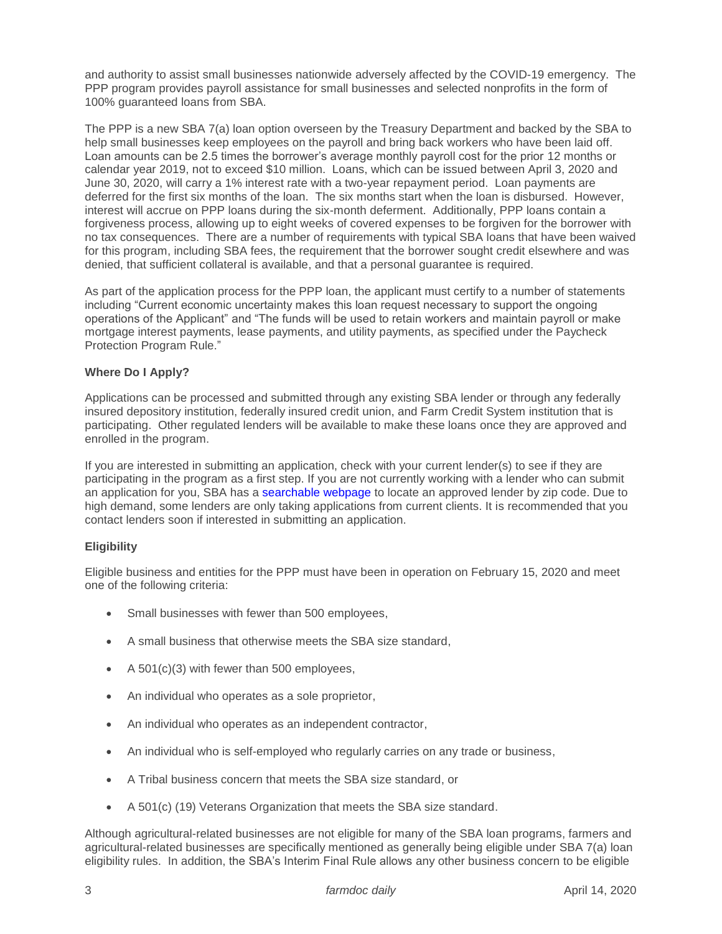and authority to assist small businesses nationwide adversely affected by the COVID-19 emergency. The PPP program provides payroll assistance for small businesses and selected nonprofits in the form of 100% guaranteed loans from SBA.

The PPP is a new SBA 7(a) loan option overseen by the Treasury Department and backed by the SBA to help small businesses keep employees on the payroll and bring back workers who have been laid off. Loan amounts can be 2.5 times the borrower's average monthly payroll cost for the prior 12 months or calendar year 2019, not to exceed \$10 million. Loans, which can be issued between April 3, 2020 and June 30, 2020, will carry a 1% interest rate with a two-year repayment period. Loan payments are deferred for the first six months of the loan. The six months start when the loan is disbursed. However, interest will accrue on PPP loans during the six-month deferment. Additionally, PPP loans contain a forgiveness process, allowing up to eight weeks of covered expenses to be forgiven for the borrower with no tax consequences. There are a number of requirements with typical SBA loans that have been waived for this program, including SBA fees, the requirement that the borrower sought credit elsewhere and was denied, that sufficient collateral is available, and that a personal guarantee is required.

As part of the application process for the PPP loan, the applicant must certify to a number of statements including "Current economic uncertainty makes this loan request necessary to support the ongoing operations of the Applicant" and "The funds will be used to retain workers and maintain payroll or make mortgage interest payments, lease payments, and utility payments, as specified under the Paycheck Protection Program Rule."

# **Where Do I Apply?**

Applications can be processed and submitted through any existing SBA lender or through any federally insured depository institution, federally insured credit union, and Farm Credit System institution that is participating. Other regulated lenders will be available to make these loans once they are approved and enrolled in the program.

If you are interested in submitting an application, check with your current lender(s) to see if they are participating in the program as a first step. If you are not currently working with a lender who can submit an application for you, SBA has a [searchable webpage](https://www.sba.gov/paycheckprotection/find) to locate an approved lender by zip code. Due to high demand, some lenders are only taking applications from current clients. It is recommended that you contact lenders soon if interested in submitting an application.

## **Eligibility**

Eligible business and entities for the PPP must have been in operation on February 15, 2020 and meet one of the following criteria:

- Small businesses with fewer than 500 employees,
- A small business that otherwise meets the SBA size standard,
- $\bullet$  A 501(c)(3) with fewer than 500 employees,
- An individual who operates as a sole proprietor,
- An individual who operates as an independent contractor,
- An individual who is self-employed who regularly carries on any trade or business,
- A Tribal business concern that meets the SBA size standard, or
- A 501(c) (19) Veterans Organization that meets the SBA size standard.

Although agricultural-related businesses are not eligible for many of the SBA loan programs, farmers and agricultural-related businesses are specifically mentioned as generally being eligible under SBA 7(a) loan eligibility rules. In addition, the SBA's Interim Final Rule allows any other business concern to be eligible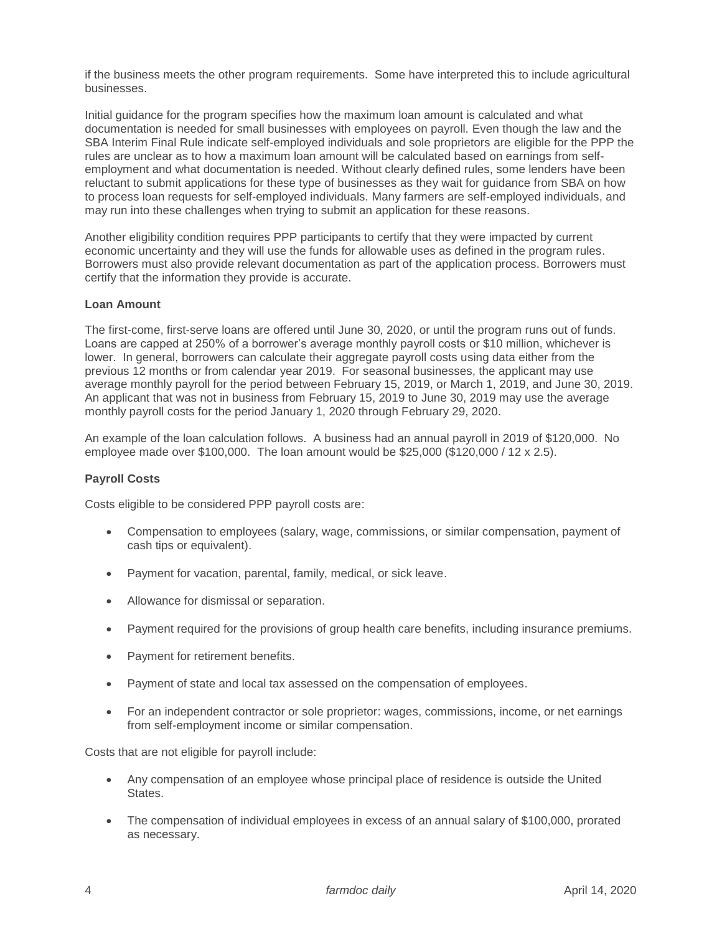if the business meets the other program requirements. Some have interpreted this to include agricultural businesses.

Initial guidance for the program specifies how the maximum loan amount is calculated and what documentation is needed for small businesses with employees on payroll. Even though the law and the SBA Interim Final Rule indicate self-employed individuals and sole proprietors are eligible for the PPP the rules are unclear as to how a maximum loan amount will be calculated based on earnings from selfemployment and what documentation is needed. Without clearly defined rules, some lenders have been reluctant to submit applications for these type of businesses as they wait for guidance from SBA on how to process loan requests for self-employed individuals. Many farmers are self-employed individuals, and may run into these challenges when trying to submit an application for these reasons.

Another eligibility condition requires PPP participants to certify that they were impacted by current economic uncertainty and they will use the funds for allowable uses as defined in the program rules. Borrowers must also provide relevant documentation as part of the application process. Borrowers must certify that the information they provide is accurate.

## **Loan Amount**

The first-come, first-serve loans are offered until June 30, 2020, or until the program runs out of funds. Loans are capped at 250% of a borrower's average monthly payroll costs or \$10 million, whichever is lower. In general, borrowers can calculate their aggregate payroll costs using data either from the previous 12 months or from calendar year 2019. For seasonal businesses, the applicant may use average monthly payroll for the period between February 15, 2019, or March 1, 2019, and June 30, 2019. An applicant that was not in business from February 15, 2019 to June 30, 2019 may use the average monthly payroll costs for the period January 1, 2020 through February 29, 2020.

An example of the loan calculation follows. A business had an annual payroll in 2019 of \$120,000. No employee made over \$100,000. The loan amount would be \$25,000 (\$120,000 / 12 x 2.5).

## **Payroll Costs**

Costs eligible to be considered PPP payroll costs are:

- Compensation to employees (salary, wage, commissions, or similar compensation, payment of cash tips or equivalent).
- Payment for vacation, parental, family, medical, or sick leave.
- Allowance for dismissal or separation.
- Payment required for the provisions of group health care benefits, including insurance premiums.
- Payment for retirement benefits.
- Payment of state and local tax assessed on the compensation of employees.
- For an independent contractor or sole proprietor: wages, commissions, income, or net earnings from self-employment income or similar compensation.

Costs that are not eligible for payroll include:

- Any compensation of an employee whose principal place of residence is outside the United States.
- The compensation of individual employees in excess of an annual salary of \$100,000, prorated as necessary.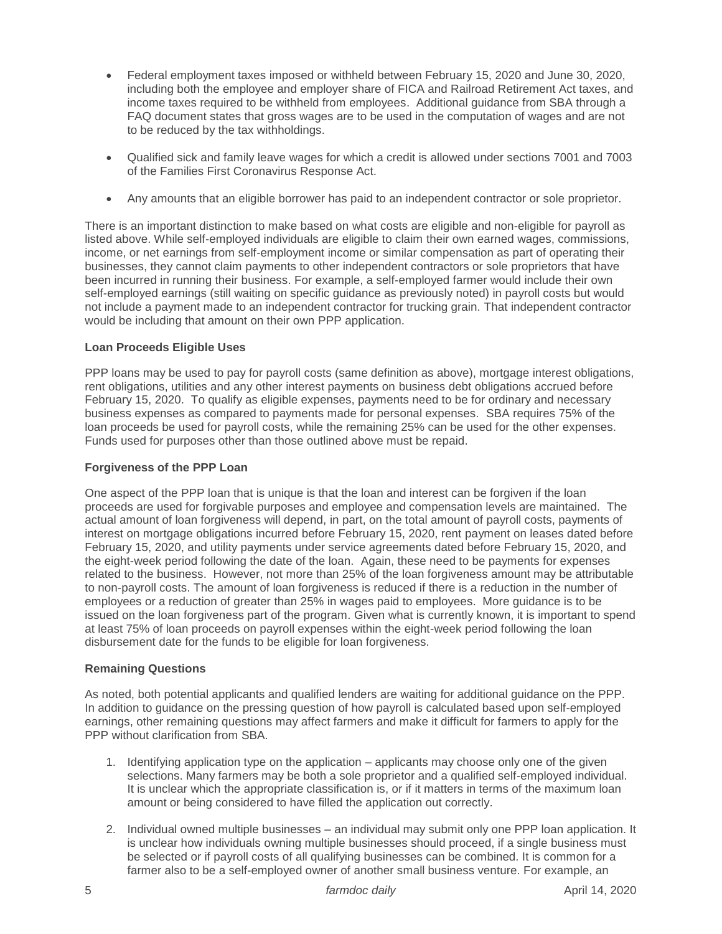- Federal employment taxes imposed or withheld between February 15, 2020 and June 30, 2020, including both the employee and employer share of FICA and Railroad Retirement Act taxes, and income taxes required to be withheld from employees. Additional guidance from SBA through a FAQ document states that gross wages are to be used in the computation of wages and are not to be reduced by the tax withholdings.
- Qualified sick and family leave wages for which a credit is allowed under sections 7001 and 7003 of the Families First Coronavirus Response Act.
- Any amounts that an eligible borrower has paid to an independent contractor or sole proprietor.

There is an important distinction to make based on what costs are eligible and non-eligible for payroll as listed above. While self-employed individuals are eligible to claim their own earned wages, commissions, income, or net earnings from self-employment income or similar compensation as part of operating their businesses, they cannot claim payments to other independent contractors or sole proprietors that have been incurred in running their business. For example, a self-employed farmer would include their own self-employed earnings (still waiting on specific guidance as previously noted) in payroll costs but would not include a payment made to an independent contractor for trucking grain. That independent contractor would be including that amount on their own PPP application.

## **Loan Proceeds Eligible Uses**

PPP loans may be used to pay for payroll costs (same definition as above), mortgage interest obligations, rent obligations, utilities and any other interest payments on business debt obligations accrued before February 15, 2020. To qualify as eligible expenses, payments need to be for ordinary and necessary business expenses as compared to payments made for personal expenses. SBA requires 75% of the loan proceeds be used for payroll costs, while the remaining 25% can be used for the other expenses. Funds used for purposes other than those outlined above must be repaid.

## **Forgiveness of the PPP Loan**

One aspect of the PPP loan that is unique is that the loan and interest can be forgiven if the loan proceeds are used for forgivable purposes and employee and compensation levels are maintained. The actual amount of loan forgiveness will depend, in part, on the total amount of payroll costs, payments of interest on mortgage obligations incurred before February 15, 2020, rent payment on leases dated before February 15, 2020, and utility payments under service agreements dated before February 15, 2020, and the eight-week period following the date of the loan. Again, these need to be payments for expenses related to the business. However, not more than 25% of the loan forgiveness amount may be attributable to non-payroll costs. The amount of loan forgiveness is reduced if there is a reduction in the number of employees or a reduction of greater than 25% in wages paid to employees. More guidance is to be issued on the loan forgiveness part of the program. Given what is currently known, it is important to spend at least 75% of loan proceeds on payroll expenses within the eight-week period following the loan disbursement date for the funds to be eligible for loan forgiveness.

## **Remaining Questions**

As noted, both potential applicants and qualified lenders are waiting for additional guidance on the PPP. In addition to guidance on the pressing question of how payroll is calculated based upon self-employed earnings, other remaining questions may affect farmers and make it difficult for farmers to apply for the PPP without clarification from SBA.

- 1. Identifying application type on the application applicants may choose only one of the given selections. Many farmers may be both a sole proprietor and a qualified self-employed individual. It is unclear which the appropriate classification is, or if it matters in terms of the maximum loan amount or being considered to have filled the application out correctly.
- 2. Individual owned multiple businesses an individual may submit only one PPP loan application. It is unclear how individuals owning multiple businesses should proceed, if a single business must be selected or if payroll costs of all qualifying businesses can be combined. It is common for a farmer also to be a self-employed owner of another small business venture. For example, an